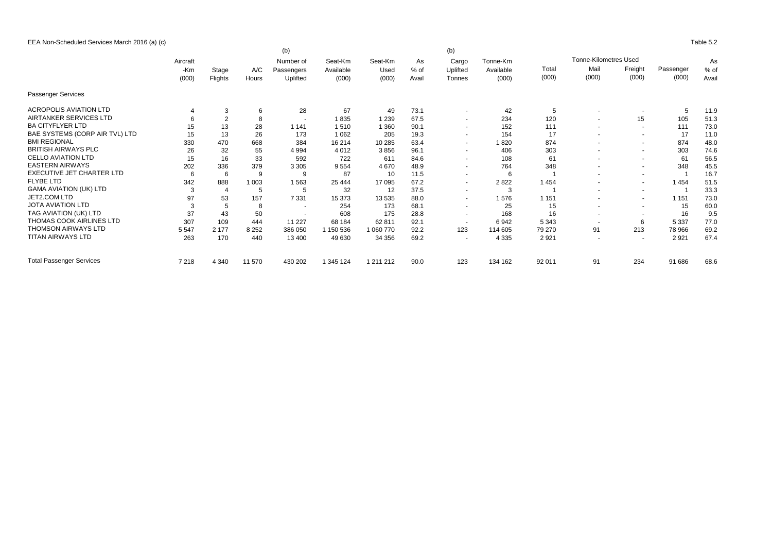EEA Non-Scheduled Services March 2016 (a) (c) Table 5.2

|                                  |              |         | (b)<br>(b) |                         |                      |                 |              |                          |                       |         |                          |                |           |        |       |  |
|----------------------------------|--------------|---------|------------|-------------------------|----------------------|-----------------|--------------|--------------------------|-----------------------|---------|--------------------------|----------------|-----------|--------|-------|--|
|                                  | Aircraft     |         |            | Number of<br>Passengers | Seat-Km<br>Available | Seat-Km<br>Used | As<br>$%$ of | Cargo<br>Uplifted        | Tonne-Km<br>Available |         |                          | As             |           |        |       |  |
|                                  | -Km<br>(000) | Stage   | A/C        |                         |                      |                 |              |                          |                       | Total   | Mail                     | Freight        | Passenger | $%$ of |       |  |
|                                  |              |         | Flights    | Hours                   | Uplifted             | (000)           | (000)        | Avail                    | Tonnes                | (000)   | (000)                    | (000)          | (000)     | (000)  | Avail |  |
| Passenger Services               |              |         |            |                         |                      |                 |              |                          |                       |         |                          |                |           |        |       |  |
| <b>ACROPOLIS AVIATION LTD</b>    |              | 3       | 6          | 28                      | 67                   | 49              | 73.1         | $\sim$                   | 42                    | 5       |                          |                | 5         | 11.9   |       |  |
| AIRTANKER SERVICES LTD           |              | 2       | 8          |                         | 1835                 | 1 2 3 9         | 67.5         | $\sim$                   | 234                   | 120     | $\overline{\phantom{a}}$ | 15             | 105       | 51.3   |       |  |
| <b>BA CITYFLYER LTD</b>          | 15           | 13      | 28         | 1 1 4 1                 | 1510                 | 1 3 6 0         | 90.1         | $\sim$                   | 152                   | 111     | $\overline{\phantom{a}}$ | $\sim$         | 111       | 73.0   |       |  |
| BAE SYSTEMS (CORP AIR TVL) LTD   | 15           | 13      | 26         | 173                     | 1 0 6 2              | 205             | 19.3         | $\sim$                   | 154                   | 17      |                          | $\sim$         | 17        | 11.0   |       |  |
| <b>BMI REGIONAL</b>              | 330          | 470     | 668        | 384                     | 16 214               | 10 285          | 63.4         | $\sim$                   | 1820                  | 874     |                          | $\sim$         | 874       | 48.0   |       |  |
| <b>BRITISH AIRWAYS PLC</b>       | 26           | 32      | 55         | 4 9 9 4                 | 4 0 1 2              | 3856            | 96.1         | $\sim$                   | 406                   | 303     | $\overline{\phantom{a}}$ | $\sim$         | 303       | 74.6   |       |  |
| <b>CELLO AVIATION LTD</b>        | 15           | 16      | 33         | 592                     | 722                  | 611             | 84.6         | $\sim$                   | 108                   | 61      |                          | $\sim$         | 61        | 56.5   |       |  |
| <b>EASTERN AIRWAYS</b>           | 202          | 336     | 379        | 3 3 0 5                 | 9554                 | 4670            | 48.9         | $\sim$                   | 764                   | 348     | $\overline{\phantom{a}}$ | $\sim$         | 348       | 45.5   |       |  |
| <b>EXECUTIVE JET CHARTER LTD</b> | 6            | 6       | 9          | 9                       | 87                   | 10              | 11.5         | $\sim$                   | 6                     |         |                          | $\sim$         |           | 16.7   |       |  |
| <b>FLYBE LTD</b>                 | 342          | 888     | 1 0 0 3    | 1563                    | 25 4 44              | 17 095          | 67.2         | $\sim$                   | 2 8 2 2               | 1454    | $\overline{\phantom{a}}$ | $\sim$         | 1454      | 51.5   |       |  |
| <b>GAMA AVIATION (UK) LTD</b>    | 3            | 4       | 5          | 5                       | 32                   | 12              | 37.5         | $\sim$                   | 3                     |         |                          | $\sim$         |           | 33.3   |       |  |
| JET2.COM LTD                     | 97           | 53      | 157        | 7 3 3 1                 | 15 373               | 13 535          | 88.0         | $\sim$                   | 1576                  | 1 1 5 1 |                          | $\sim$         | 1 1 5 1   | 73.0   |       |  |
| <b>JOTA AVIATION LTD</b>         | 3            | 5       | 8          | $\sim$                  | 254                  | 173             | 68.1         | $\sim$                   | 25                    | 15      |                          | $\sim$         | 15        | 60.0   |       |  |
| TAG AVIATION (UK) LTD            | 37           | 43      | 50         |                         | 608                  | 175             | 28.8         | $\sim$                   | 168                   | 16      |                          | $\sim$         | 16        | 9.5    |       |  |
| THOMAS COOK AIRLINES LTD         | 307          | 109     | 444        | 11 227                  | 68 184               | 62 811          | 92.1         | $\overline{\phantom{a}}$ | 6942                  | 5 3 4 3 | $\overline{\phantom{a}}$ | 6              | 5 3 3 7   | 77.0   |       |  |
| <b>THOMSON AIRWAYS LTD</b>       | 5 5 4 7      | 2 1 7 7 | 8 2 5 2    | 386 050                 | 1 150 536            | 1 060 770       | 92.2         | 123                      | 114 605               | 79 270  | 91                       | 213            | 78 966    | 69.2   |       |  |
| TITAN AIRWAYS LTD                | 263          | 170     | 440        | 13 400                  | 49 630               | 34 356          | 69.2         | $\overline{\phantom{a}}$ | 4 3 3 5               | 2921    |                          | $\overline{a}$ | 2921      | 67.4   |       |  |
| <b>Total Passenger Services</b>  | 7 2 1 8      | 4 3 4 0 | 11 570     | 430 202                 | 1 345 124            | 1 211 212       | 90.0         | 123                      | 134 162               | 92 011  | 91                       | 234            | 91 686    | 68.6   |       |  |